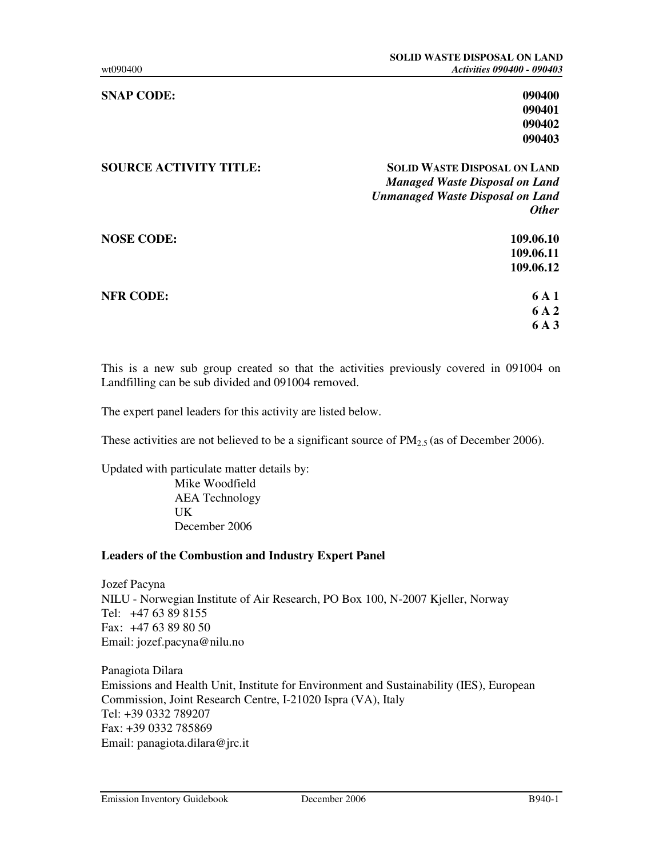## **SNAP CODE:** 090400

## **090401 090402 090403**

| <b>SOURCE ACTIVITY TITLE:</b> | <b>SOLID WASTE DISPOSAL ON LAND</b>     |
|-------------------------------|-----------------------------------------|
|                               | <b>Managed Waste Disposal on Land</b>   |
|                               | <b>Unmanaged Waste Disposal on Land</b> |
|                               | <b>Other</b>                            |
| <b>NOSE CODE:</b>             | 109.06.10                               |
|                               | 109.06.11                               |
|                               | 109.06.12                               |
| <b>NFR CODE:</b>              | 6 A 1                                   |
|                               | 6 A 2                                   |
|                               | 6 A 3                                   |

This is a new sub group created so that the activities previously covered in 091004 on Landfilling can be sub divided and 091004 removed.

The expert panel leaders for this activity are listed below.

These activities are not believed to be a significant source of  $PM_{2.5}$  (as of December 2006).

Updated with particulate matter details by:

Mike Woodfield AEA Technology UK December 2006

## **Leaders of the Combustion and Industry Expert Panel**

Jozef Pacyna NILU - Norwegian Institute of Air Research, PO Box 100, N-2007 Kjeller, Norway Tel: +47 63 89 8155 Fax: +47 63 89 80 50 Email: jozef.pacyna@nilu.no

Panagiota Dilara Emissions and Health Unit, Institute for Environment and Sustainability (IES), European Commission, Joint Research Centre, I-21020 Ispra (VA), Italy Tel: +39 0332 789207 Fax: +39 0332 785869 Email: panagiota.dilara@jrc.it